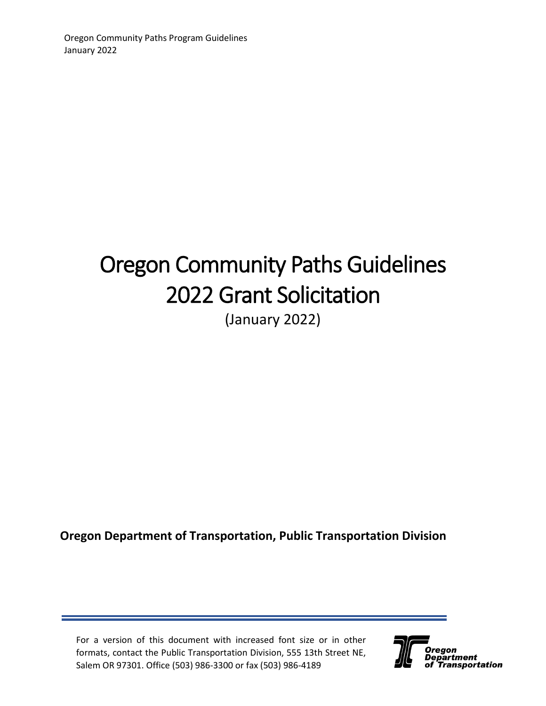# Oregon Community Paths Guidelines 2022 Grant Solicitation (January 2022)

## **Oregon Department of Transportation, Public Transportation Division**

For a version of this document with increased font size or in other formats, contact the Public Transportation Division, 555 13th Street NE, Salem OR 97301. Office (503) 986-3300 or fax (503) 986-4189

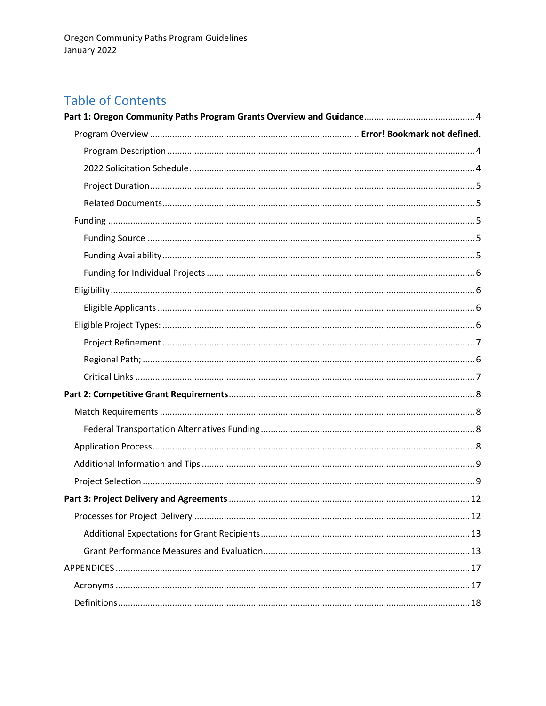## **Table of Contents**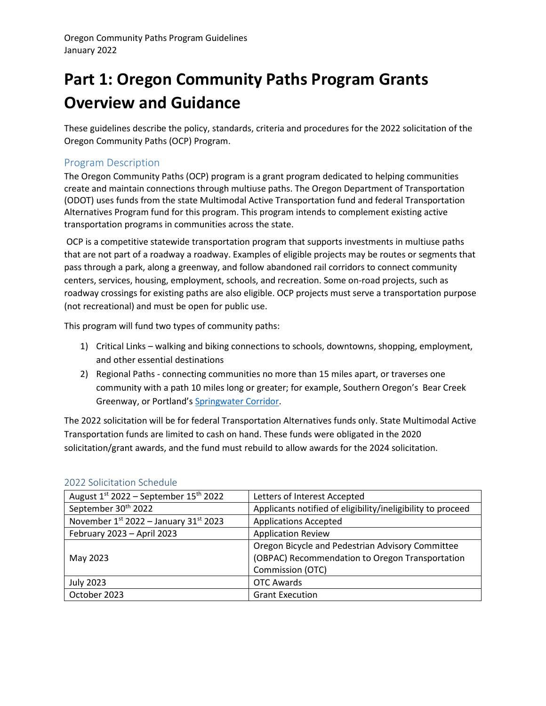## <span id="page-3-0"></span>**Part 1: Oregon Community Paths Program Grants Overview and Guidance**

These guidelines describe the policy, standards, criteria and procedures for the 2022 solicitation of the Oregon Community Paths (OCP) Program.

## <span id="page-3-1"></span>Program Description

The Oregon Community Paths (OCP) program is a grant program dedicated to helping communities create and maintain connections through multiuse paths. The Oregon Department of Transportation (ODOT) uses funds from the state Multimodal Active Transportation fund and federal Transportation Alternatives Program fund for this program. This program intends to complement existing active transportation programs in communities across the state.

OCP is a competitive statewide transportation program that supports investments in multiuse paths that are not part of a roadway a roadway. Examples of eligible projects may be routes or segments that pass through a park, along a greenway, and follow abandoned rail corridors to connect community centers, services, housing, employment, schools, and recreation. Some on-road projects, such as roadway crossings for existing paths are also eligible. OCP projects must serve a transportation purpose (not recreational) and must be open for public use.

This program will fund two types of community paths:

- 1) Critical Links walking and biking connections to schools, downtowns, shopping, employment, and other essential destinations
- 2) Regional Paths connecting communities no more than 15 miles apart, or traverses one community with a path 10 miles long or greater; for example, Southern Oregon's Bear Creek Greenway, or Portland's [Springwater Corridor.](https://www.portland.gov/parks/springwater-corridor)

The 2022 solicitation will be for federal Transportation Alternatives funds only. State Multimodal Active Transportation funds are limited to cash on hand. These funds were obligated in the 2020 solicitation/grant awards, and the fund must rebuild to allow awards for the 2024 solicitation.

| August $1^{st}$ 2022 – September $15^{th}$ 2022 | Letters of Interest Accepted                                |
|-------------------------------------------------|-------------------------------------------------------------|
| September 30 <sup>th</sup> 2022                 | Applicants notified of eligibility/ineligibility to proceed |
| November $1^{st}$ 2022 - January 31st 2023      | <b>Applications Accepted</b>                                |
| February 2023 - April 2023                      | <b>Application Review</b>                                   |
|                                                 | Oregon Bicycle and Pedestrian Advisory Committee            |
| May 2023                                        | (OBPAC) Recommendation to Oregon Transportation             |
|                                                 | Commission (OTC)                                            |
| <b>July 2023</b>                                | <b>OTC Awards</b>                                           |
| October 2023                                    | <b>Grant Execution</b>                                      |

## <span id="page-3-2"></span>2022 Solicitation Schedule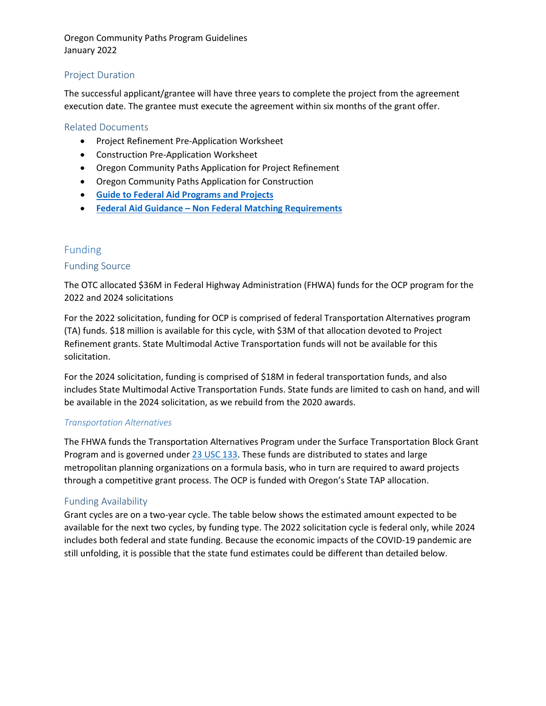## <span id="page-4-0"></span>Project Duration

The successful applicant/grantee will have three years to complete the project from the agreement execution date. The grantee must execute the agreement within six months of the grant offer.

## <span id="page-4-1"></span>Related Documents

- Project Refinement Pre-Application Worksheet
- Construction Pre-Application Worksheet
- Oregon Community Paths Application for Project Refinement
- Oregon Community Paths Application for Construction
- **[Guide to Federal Aid Programs and Projects](https://www.fhwa.dot.gov/federalaid/projects.pdf)**
- **Federal Aid Guidance – [Non Federal Matching Requirements](https://www.fhwa.dot.gov/legsregs/directives/policy/fedaid_guidance_nfmr.pdf)**

## <span id="page-4-2"></span>Funding

## <span id="page-4-3"></span>Funding Source

The OTC allocated \$36M in Federal Highway Administration (FHWA) funds for the OCP program for the 2022 and 2024 solicitations

For the 2022 solicitation, funding for OCP is comprised of federal Transportation Alternatives program (TA) funds. \$18 million is available for this cycle, with \$3M of that allocation devoted to Project Refinement grants. State Multimodal Active Transportation funds will not be available for this solicitation.

For the 2024 solicitation, funding is comprised of \$18M in federal transportation funds, and also includes State Multimodal Active Transportation Funds. State funds are limited to cash on hand, and will be available in the 2024 solicitation, as we rebuild from the 2020 awards.

## *Transportation Alternatives*

The FHWA funds the Transportation Alternatives Program under the Surface Transportation Block Grant Program and is governed unde[r 23 USC 133.](https://www.law.cornell.edu/uscode/text/23/133) These funds are distributed to states and large metropolitan planning organizations on a formula basis, who in turn are required to award projects through a competitive grant process. The OCP is funded with Oregon's State TAP allocation.

## <span id="page-4-4"></span>Funding Availability

Grant cycles are on a two-year cycle. The table below shows the estimated amount expected to be available for the next two cycles, by funding type. The 2022 solicitation cycle is federal only, while 2024 includes both federal and state funding. Because the economic impacts of the COVID-19 pandemic are still unfolding, it is possible that the state fund estimates could be different than detailed below.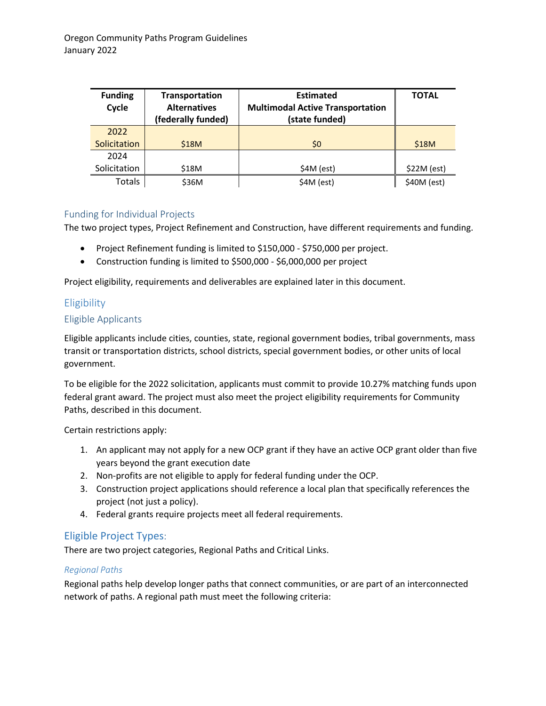| <b>Funding</b><br>Cycle | Transportation<br><b>Alternatives</b><br>(federally funded) | <b>Estimated</b><br><b>Multimodal Active Transportation</b><br>(state funded) | <b>TOTAL</b> |
|-------------------------|-------------------------------------------------------------|-------------------------------------------------------------------------------|--------------|
| 2022                    |                                                             |                                                                               |              |
| Solicitation            | <b>\$18M</b>                                                | \$0                                                                           | \$18M        |
| 2024                    |                                                             |                                                                               |              |
| Solicitation            | \$18M                                                       | $$4M$ (est)                                                                   | \$22M (est)  |
| Totals                  | \$36M                                                       | $$4M$ (est)                                                                   | $$40M$ (est) |

## <span id="page-5-0"></span>Funding for Individual Projects

The two project types, Project Refinement and Construction, have different requirements and funding.

- Project Refinement funding is limited to \$150,000 \$750,000 per project.
- Construction funding is limited to \$500,000 \$6,000,000 per project

Project eligibility, requirements and deliverables are explained later in this document.

## <span id="page-5-1"></span>Eligibility

## <span id="page-5-2"></span>Eligible Applicants

Eligible applicants include cities, counties, state, regional government bodies, tribal governments, mass transit or transportation districts, school districts, special government bodies, or other units of local government.

To be eligible for the 2022 solicitation, applicants must commit to provide 10.27% matching funds upon federal grant award. The project must also meet the project eligibility requirements for Community Paths, described in this document.

Certain restrictions apply:

- 1. An applicant may not apply for a new OCP grant if they have an active OCP grant older than five years beyond the grant execution date
- 2. Non-profits are not eligible to apply for federal funding under the OCP.
- 3. Construction project applications should reference a local plan that specifically references the project (not just a policy).
- 4. Federal grants require projects meet all federal requirements.

## <span id="page-5-3"></span>Eligible Project Types:

There are two project categories, Regional Paths and Critical Links.

## <span id="page-5-4"></span>*Regional Paths*

Regional paths help develop longer paths that connect communities, or are part of an interconnected network of paths. A regional path must meet the following criteria: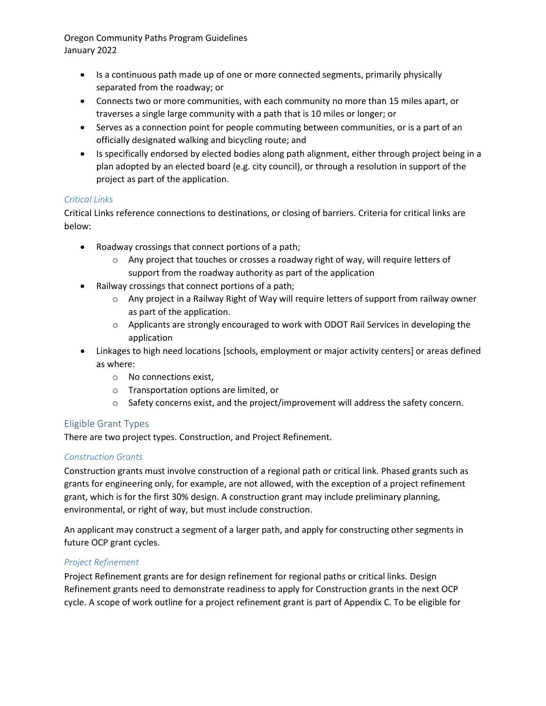- Is a continuous path made up of one or more connected segments, primarily physically separated from the roadway; or
- Connects two or more communities, with each community no more than 15 miles apart, or traverses a single large community with a path that is 10 miles or longer; or
- Serves as a connection point for people commuting between communities, or is a part of an officially designated walking and bicycling route; and
- Is specifically endorsed by elected bodies along path alignment, either through project being in a plan adopted by an elected board (e.g. city council), or through a resolution in support of the project as part of the application.

## <span id="page-6-1"></span>*Critical Links*

Critical Links reference connections to destinations, or closing of barriers. Criteria for critical links are below:

- Roadway crossings that connect portions of a path;
	- o Any project that touches or crosses a roadway right of way, will require letters of support from the roadway authority as part of the application
- Railway crossings that connect portions of a path;
	- o Any project in a Railway Right of Way will require letters of support from railway owner as part of the application.
	- o Applicants are strongly encouraged to work with ODOT Rail Services in developing the application
- Linkages to high need locations [schools, employment or major activity centers] or areas defined as where:
	- o No connections exist,
	- o Transportation options are limited, or
	- $\circ$  Safety concerns exist, and the project/improvement will address the safety concern.

## Eligible Grant Types

There are two project types. Construction, and Project Refinement.

## *Construction Grants*

Construction grants must involve construction of a regional path or critical link. Phased grants such as grants for engineering only, for example, are not allowed, with the exception of a project refinement grant, which is for the first 30% design. A construction grant may include preliminary planning, environmental, or right of way, but must include construction.

An applicant may construct a segment of a larger path, and apply for constructing other segments in future OCP grant cycles.

## <span id="page-6-0"></span>*Project Refinement*

Project Refinement grants are for design refinement for regional paths or critical links. Design Refinement grants need to demonstrate readiness to apply for Construction grants in the next OCP cycle. A scope of work outline for a project refinement grant is part of Appendix C. To be eligible for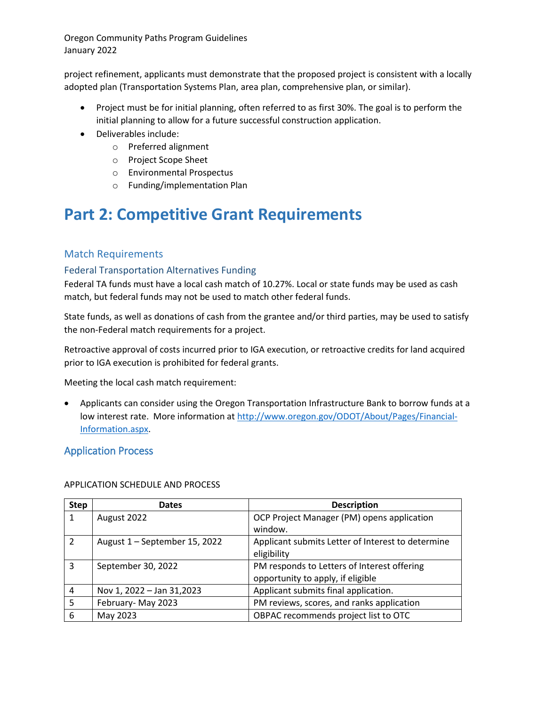project refinement, applicants must demonstrate that the proposed project is consistent with a locally adopted plan (Transportation Systems Plan, area plan, comprehensive plan, or similar).

- Project must be for initial planning, often referred to as first 30%. The goal is to perform the initial planning to allow for a future successful construction application.
- Deliverables include:
	- o Preferred alignment
	- o Project Scope Sheet
	- o Environmental Prospectus
	- o Funding/implementation Plan

## <span id="page-7-0"></span>**Part 2: Competitive Grant Requirements**

## <span id="page-7-1"></span>Match Requirements

## <span id="page-7-2"></span>Federal Transportation Alternatives Funding

Federal TA funds must have a local cash match of 10.27%. Local or state funds may be used as cash match, but federal funds may not be used to match other federal funds.

State funds, as well as donations of cash from the grantee and/or third parties, may be used to satisfy the non-Federal match requirements for a project.

Retroactive approval of costs incurred prior to IGA execution, or retroactive credits for land acquired prior to IGA execution is prohibited for federal grants.

Meeting the local cash match requirement:

• Applicants can consider using the Oregon Transportation Infrastructure Bank to borrow funds at a low interest rate. More information at [http://www.oregon.gov/ODOT/About/Pages/Financial-](http://www.oregon.gov/ODOT/About/Pages/Financial-Information.aspx)[Information.aspx.](http://www.oregon.gov/ODOT/About/Pages/Financial-Information.aspx)

## <span id="page-7-3"></span>Application Process

## APPLICATION SCHEDULE AND PROCESS

| <b>Step</b>    | <b>Dates</b>                  | <b>Description</b>                                |
|----------------|-------------------------------|---------------------------------------------------|
| $\mathbf{1}$   | August 2022                   | OCP Project Manager (PM) opens application        |
|                |                               | window.                                           |
| $\overline{2}$ | August 1 - September 15, 2022 | Applicant submits Letter of Interest to determine |
|                |                               | eligibility                                       |
| 3              | September 30, 2022            | PM responds to Letters of Interest offering       |
|                |                               | opportunity to apply, if eligible                 |
| 4              | Nov 1, 2022 - Jan 31,2023     | Applicant submits final application.              |
| 5              | February-May 2023             | PM reviews, scores, and ranks application         |
| 6              | May 2023                      | OBPAC recommends project list to OTC              |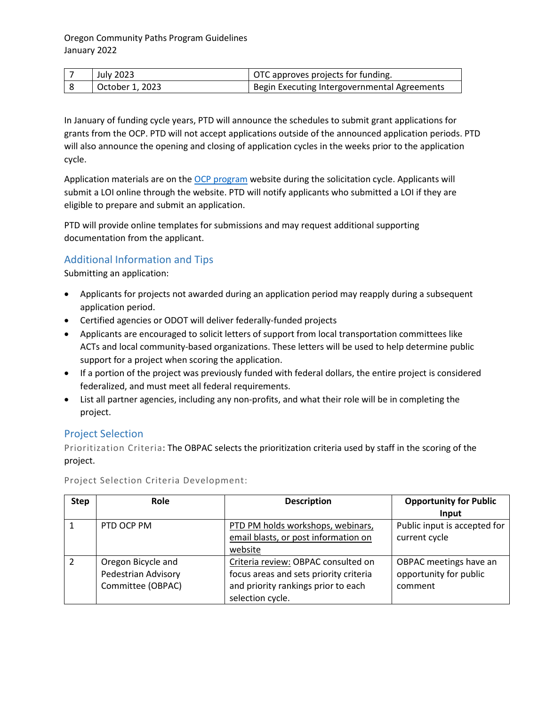| July 2023       | OTC approves projects for funding.           |
|-----------------|----------------------------------------------|
| October 1, 2023 | Begin Executing Intergovernmental Agreements |

In January of funding cycle years, PTD will announce the schedules to submit grant applications for grants from the OCP. PTD will not accept applications outside of the announced application periods. PTD will also announce the opening and closing of application cycles in the weeks prior to the application cycle.

Application materials are on the OCP [program](https://www.oregon.gov/odot/Programs/Pages/OCP.aspx) website during the solicitation cycle. Applicants will submit a LOI online through the website. PTD will notify applicants who submitted a LOI if they are eligible to prepare and submit an application.

PTD will provide online templates for submissions and may request additional supporting documentation from the applicant.

## <span id="page-8-0"></span>Additional Information and Tips

Submitting an application:

- Applicants for projects not awarded during an application period may reapply during a subsequent application period.
- Certified agencies or ODOT will deliver federally-funded projects
- Applicants are encouraged to solicit letters of support from local transportation committees like ACTs and local community-based organizations. These letters will be used to help determine public support for a project when scoring the application.
- If a portion of the project was previously funded with federal dollars, the entire project is considered federalized, and must meet all federal requirements.
- List all partner agencies, including any non-profits, and what their role will be in completing the project.

## <span id="page-8-1"></span>Project Selection

Prioritization Criteria: The OBPAC selects the prioritization criteria used by staff in the scoring of the project.

| <b>Step</b>    | <b>Role</b>         | <b>Description</b>                     | <b>Opportunity for Public</b> |
|----------------|---------------------|----------------------------------------|-------------------------------|
|                |                     |                                        | Input                         |
| $\mathbf{1}$   | PTD OCP PM          | PTD PM holds workshops, webinars,      | Public input is accepted for  |
|                |                     | email blasts, or post information on   | current cycle                 |
|                |                     | website                                |                               |
| $\overline{2}$ | Oregon Bicycle and  | Criteria review: OBPAC consulted on    | OBPAC meetings have an        |
|                | Pedestrian Advisory | focus areas and sets priority criteria | opportunity for public        |
|                | Committee (OBPAC)   | and priority rankings prior to each    | comment                       |
|                |                     | selection cycle.                       |                               |

Project Selection Criteria Development: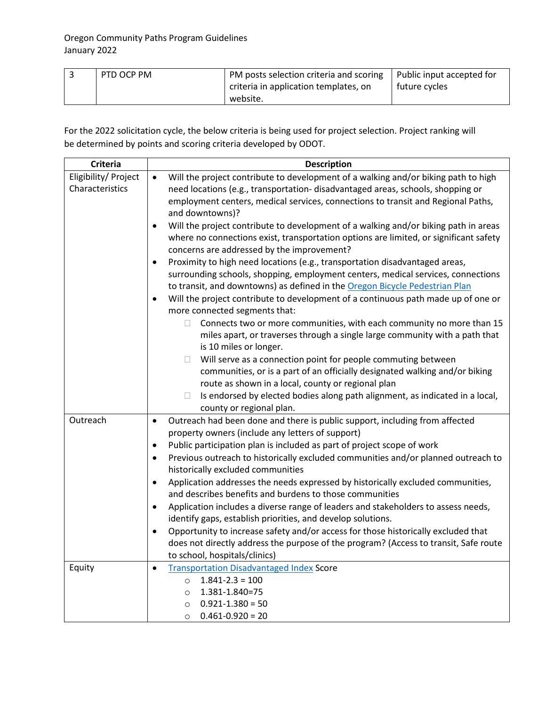| PTD OCP PM | PM posts selection criteria and scoring<br>criteria in application templates, on | Public input accepted for<br>future cycles |
|------------|----------------------------------------------------------------------------------|--------------------------------------------|
|            | website.                                                                         |                                            |

For the 2022 solicitation cycle, the below criteria is being used for project selection. Project ranking will be determined by points and scoring criteria developed by ODOT.

| <b>Criteria</b>      | <b>Description</b>                                                                                                                  |
|----------------------|-------------------------------------------------------------------------------------------------------------------------------------|
| Eligibility/ Project | Will the project contribute to development of a walking and/or biking path to high<br>$\bullet$                                     |
| Characteristics      | need locations (e.g., transportation- disadvantaged areas, schools, shopping or                                                     |
|                      | employment centers, medical services, connections to transit and Regional Paths,<br>and downtowns)?                                 |
|                      | Will the project contribute to development of a walking and/or biking path in areas<br>$\bullet$                                    |
|                      | where no connections exist, transportation options are limited, or significant safety                                               |
|                      | concerns are addressed by the improvement?                                                                                          |
|                      | Proximity to high need locations (e.g., transportation disadvantaged areas,<br>٠                                                    |
|                      | surrounding schools, shopping, employment centers, medical services, connections                                                    |
|                      | to transit, and downtowns) as defined in the Oregon Bicycle Pedestrian Plan                                                         |
|                      | Will the project contribute to development of a continuous path made up of one or<br>$\bullet$                                      |
|                      | more connected segments that:                                                                                                       |
|                      | Connects two or more communities, with each community no more than 15<br>$\Box$                                                     |
|                      | miles apart, or traverses through a single large community with a path that<br>is 10 miles or longer.                               |
|                      | Will serve as a connection point for people commuting between<br>$\Box$                                                             |
|                      | communities, or is a part of an officially designated walking and/or biking                                                         |
|                      | route as shown in a local, county or regional plan                                                                                  |
|                      | Is endorsed by elected bodies along path alignment, as indicated in a local,<br>$\Box$                                              |
|                      | county or regional plan.                                                                                                            |
| Outreach             | Outreach had been done and there is public support, including from affected<br>$\bullet$                                            |
|                      | property owners (include any letters of support)                                                                                    |
|                      | Public participation plan is included as part of project scope of work<br>$\bullet$                                                 |
|                      | Previous outreach to historically excluded communities and/or planned outreach to<br>$\bullet$<br>historically excluded communities |
|                      | Application addresses the needs expressed by historically excluded communities,<br>$\bullet$                                        |
|                      | and describes benefits and burdens to those communities                                                                             |
|                      | Application includes a diverse range of leaders and stakeholders to assess needs,<br>$\bullet$                                      |
|                      | identify gaps, establish priorities, and develop solutions.                                                                         |
|                      | Opportunity to increase safety and/or access for those historically excluded that<br>$\bullet$                                      |
|                      | does not directly address the purpose of the program? (Access to transit, Safe route                                                |
| Equity               | to school, hospitals/clinics)<br><b>Transportation Disadvantaged Index Score</b><br>$\bullet$                                       |
|                      | $1.841 - 2.3 = 100$<br>$\circ$                                                                                                      |
|                      | 1.381-1.840=75<br>$\circ$                                                                                                           |
|                      | $0.921 - 1.380 = 50$<br>$\circ$                                                                                                     |
|                      | $0.461 - 0.920 = 20$<br>$\circ$                                                                                                     |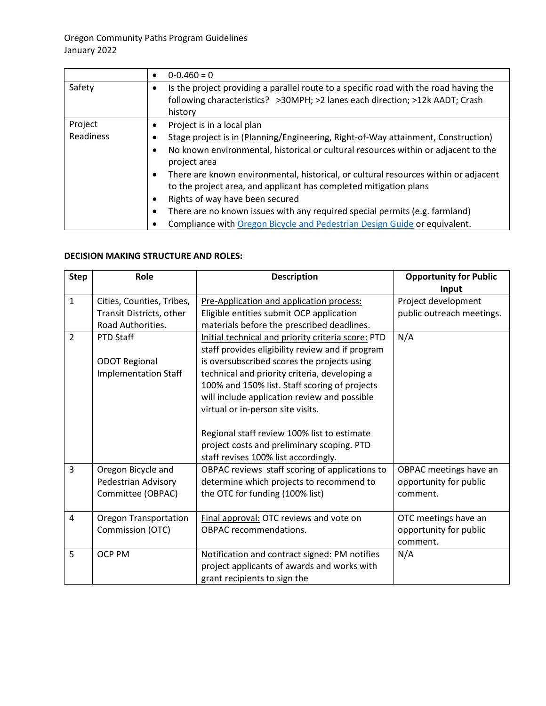|           | $0 - 0.460 = 0$                                                                                                                                                                                       |
|-----------|-------------------------------------------------------------------------------------------------------------------------------------------------------------------------------------------------------|
| Safety    | Is the project providing a parallel route to a specific road with the road having the<br>٠<br>following characteristics? > 30MPH; > 2 lanes each direction; > 12k AADT; Crash<br>history              |
| Project   | Project is in a local plan<br>٠                                                                                                                                                                       |
| Readiness | Stage project is in (Planning/Engineering, Right-of-Way attainment, Construction)                                                                                                                     |
|           | No known environmental, historical or cultural resources within or adjacent to the<br>٠<br>project area                                                                                               |
|           | There are known environmental, historical, or cultural resources within or adjacent<br>٠<br>to the project area, and applicant has completed mitigation plans<br>Rights of way have been secured<br>٠ |
|           |                                                                                                                                                                                                       |
|           | There are no known issues with any required special permits (e.g. farmland)<br>٠                                                                                                                      |
|           | Compliance with Oregon Bicycle and Pedestrian Design Guide or equivalent.                                                                                                                             |

## **DECISION MAKING STRUCTURE AND ROLES:**

<span id="page-10-0"></span>

| <b>Step</b>    | <b>Role</b>                  | <b>Description</b>                                 | <b>Opportunity for Public</b> |
|----------------|------------------------------|----------------------------------------------------|-------------------------------|
|                |                              |                                                    | Input                         |
| $\mathbf{1}$   | Cities, Counties, Tribes,    | Pre-Application and application process:           | Project development           |
|                | Transit Districts, other     | Eligible entities submit OCP application           | public outreach meetings.     |
|                | Road Authorities.            | materials before the prescribed deadlines.         |                               |
| $\overline{2}$ | PTD Staff                    | Initial technical and priority criteria score: PTD | N/A                           |
|                |                              | staff provides eligibility review and if program   |                               |
|                | <b>ODOT Regional</b>         | is oversubscribed scores the projects using        |                               |
|                | <b>Implementation Staff</b>  | technical and priority criteria, developing a      |                               |
|                |                              | 100% and 150% list. Staff scoring of projects      |                               |
|                |                              | will include application review and possible       |                               |
|                |                              | virtual or in-person site visits.                  |                               |
|                |                              |                                                    |                               |
|                |                              | Regional staff review 100% list to estimate        |                               |
|                |                              | project costs and preliminary scoping. PTD         |                               |
|                |                              | staff revises 100% list accordingly.               |                               |
| 3              | Oregon Bicycle and           | OBPAC reviews staff scoring of applications to     | OBPAC meetings have an        |
|                | Pedestrian Advisory          | determine which projects to recommend to           | opportunity for public        |
|                | Committee (OBPAC)            | the OTC for funding (100% list)                    | comment.                      |
|                |                              |                                                    |                               |
| $\overline{4}$ | <b>Oregon Transportation</b> | Final approval: OTC reviews and vote on            | OTC meetings have an          |
|                | Commission (OTC)             | <b>OBPAC</b> recommendations.                      | opportunity for public        |
|                |                              |                                                    | comment.                      |
| 5              | <b>OCP PM</b>                | Notification and contract signed: PM notifies      | N/A                           |
|                |                              | project applicants of awards and works with        |                               |
|                |                              | grant recipients to sign the                       |                               |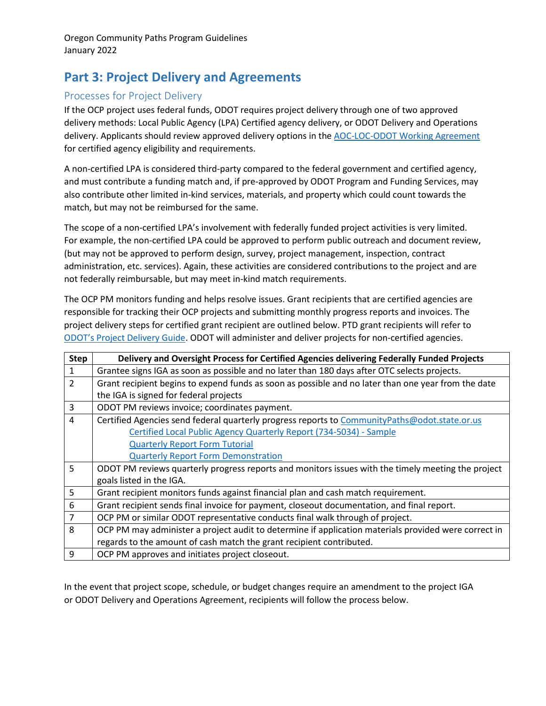## **Part 3: Project Delivery and Agreements**

## <span id="page-11-0"></span>Processes for Project Delivery

If the OCP project uses federal funds, ODOT requires project delivery through one of two approved delivery methods: Local Public Agency (LPA) Certified agency delivery, or ODOT Delivery and Operations delivery. Applicants should review approved delivery options in th[e AOC-LOC-ODOT Working Agreement](https://www.oregon.gov/odot/LocalGov/Documents/ODOT-AOC-LOC-Agreement-32588.pdf) for certified agency eligibility and requirements.

A non-certified LPA is considered third-party compared to the federal government and certified agency, and must contribute a funding match and, if pre-approved by ODOT Program and Funding Services, may also contribute other limited in-kind services, materials, and property which could count towards the match, but may not be reimbursed for the same.

The scope of a non-certified LPA's involvement with federally funded project activities is very limited. For example, the non-certified LPA could be approved to perform public outreach and document review, (but may not be approved to perform design, survey, project management, inspection, contract administration, etc. services). Again, these activities are considered contributions to the project and are not federally reimbursable, but may meet in-kind match requirements.

The OCP PM monitors funding and helps resolve issues. Grant recipients that are certified agencies are responsible for tracking their OCP projects and submitting monthly progress reports and invoices. The project delivery steps for certified grant recipient are outlined below. PTD grant recipients will refer to [ODOT's Project Delivery Guide.](https://www.oregon.gov/odot/ProjectDel/Pages/Project-Delivery-Guide.aspx) ODOT will administer and deliver projects for non-certified agencies.

| <b>Step</b>    | Delivery and Oversight Process for Certified Agencies delivering Federally Funded Projects           |
|----------------|------------------------------------------------------------------------------------------------------|
| $\mathbf{1}$   | Grantee signs IGA as soon as possible and no later than 180 days after OTC selects projects.         |
| $\overline{2}$ | Grant recipient begins to expend funds as soon as possible and no later than one year from the date  |
|                | the IGA is signed for federal projects                                                               |
| $\overline{3}$ | ODOT PM reviews invoice; coordinates payment.                                                        |
| $\overline{4}$ | Certified Agencies send federal quarterly progress reports to CommunityPaths@odot.state.or.us        |
|                | Certified Local Public Agency Quarterly Report (734-5034) - Sample                                   |
|                | <b>Quarterly Report Form Tutorial</b>                                                                |
|                | <b>Quarterly Report Form Demonstration</b>                                                           |
| 5              | ODOT PM reviews quarterly progress reports and monitors issues with the timely meeting the project   |
|                | goals listed in the IGA.                                                                             |
| 5              | Grant recipient monitors funds against financial plan and cash match requirement.                    |
| 6              | Grant recipient sends final invoice for payment, closeout documentation, and final report.           |
| $\overline{7}$ | OCP PM or similar ODOT representative conducts final walk through of project.                        |
| 8              | OCP PM may administer a project audit to determine if application materials provided were correct in |
|                | regards to the amount of cash match the grant recipient contributed.                                 |
| 9              | OCP PM approves and initiates project closeout.                                                      |

In the event that project scope, schedule, or budget changes require an amendment to the project IGA or ODOT Delivery and Operations Agreement, recipients will follow the process below.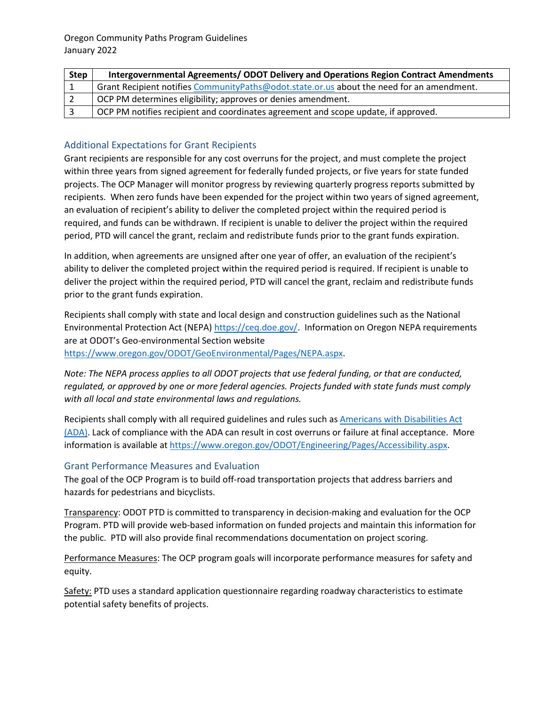| <b>Step</b> | Intergovernmental Agreements/ODOT Delivery and Operations Region Contract Amendments      |
|-------------|-------------------------------------------------------------------------------------------|
|             | Grant Recipient notifies CommunityPaths@odot.state.or.us about the need for an amendment. |
|             | OCP PM determines eligibility; approves or denies amendment.                              |
|             | OCP PM notifies recipient and coordinates agreement and scope update, if approved.        |

## <span id="page-12-0"></span>Additional Expectations for Grant Recipients

Grant recipients are responsible for any cost overruns for the project, and must complete the project within three years from signed agreement for federally funded projects, or five years for state funded projects. The OCP Manager will monitor progress by reviewing quarterly progress reports submitted by recipients. When zero funds have been expended for the project within two years of signed agreement, an evaluation of recipient's ability to deliver the completed project within the required period is required, and funds can be withdrawn. If recipient is unable to deliver the project within the required period, PTD will cancel the grant, reclaim and redistribute funds prior to the grant funds expiration.

In addition, when agreements are unsigned after one year of offer, an evaluation of the recipient's ability to deliver the completed project within the required period is required. If recipient is unable to deliver the project within the required period, PTD will cancel the grant, reclaim and redistribute funds prior to the grant funds expiration.

Recipients shall comply with state and local design and construction guidelines such as the National Environmental Protection Act (NEPA) [https://ceq.doe.gov/.](https://ceq.doe.gov/) Information on Oregon NEPA requirements are at ODOT's Geo-environmental Section website [https://www.oregon.gov/ODOT/GeoEnvironmental/Pages/NEPA.aspx.](https://www.oregon.gov/ODOT/GeoEnvironmental/Pages/NEPA.aspx)

*Note: The NEPA process applies to all ODOT projects that use federal funding, or that are conducted, regulated, or approved by one or more federal agencies. Projects funded with state funds must comply with all local and state environmental laws and regulations.*

Recipients shall comply with all required guidelines and rules such as [Americans with Disabilities Act](https://www.ada.gov/) (ADA). Lack of compliance with the ADA can result in cost overruns or failure at final acceptance. More information is available a[t https://www.oregon.gov/ODOT/Engineering/Pages/Accessibility.aspx.](https://www.oregon.gov/ODOT/Engineering/Pages/Accessibility.aspx)

## <span id="page-12-1"></span>Grant Performance Measures and Evaluation

The goal of the OCP Program is to build off-road transportation projects that address barriers and hazards for pedestrians and bicyclists.

Transparency: ODOT PTD is committed to transparency in decision-making and evaluation for the OCP Program. PTD will provide web-based information on funded projects and maintain this information for the public. PTD will also provide final recommendations documentation on project scoring.

Performance Measures: The OCP program goals will incorporate performance measures for safety and equity.

Safety: PTD uses a standard application questionnaire regarding roadway characteristics to estimate potential safety benefits of projects.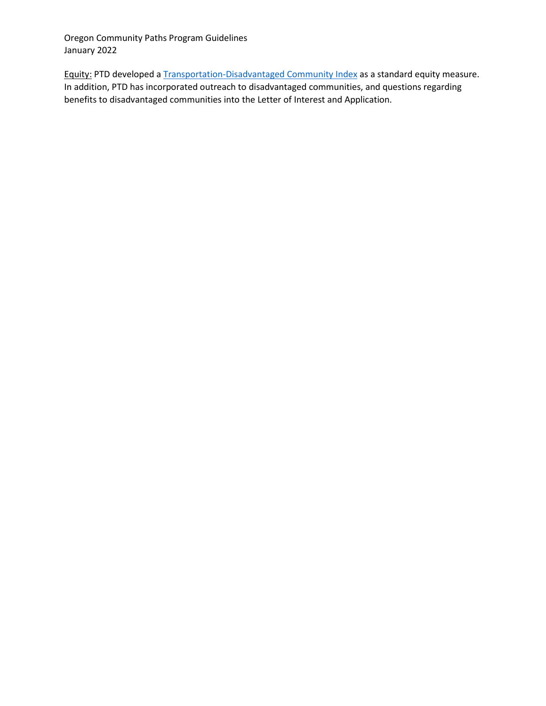Equity: PTD developed a [Transportation-Disadvantaged Community Index](https://www.arcgis.com/home/webmap/viewer.html?webmap=fdbedcf945ba45db9f37b99d8df6a8e0&extent=-128.7353,38.4092,-102.8515,48.1649) as a standard equity measure. In addition, PTD has incorporated outreach to disadvantaged communities, and questions regarding benefits to disadvantaged communities into the Letter of Interest and Application.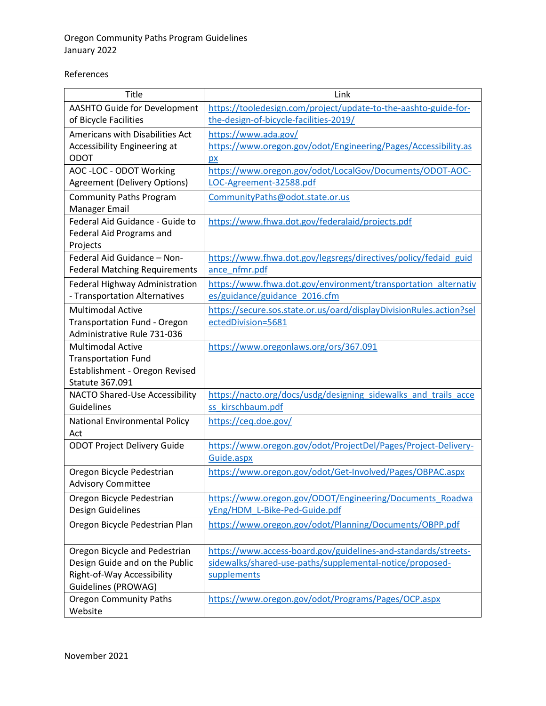## References

| Title                                                    | Link                                                                |
|----------------------------------------------------------|---------------------------------------------------------------------|
| <b>AASHTO Guide for Development</b>                      | https://tooledesign.com/project/update-to-the-aashto-guide-for-     |
| of Bicycle Facilities                                    | the-design-of-bicycle-facilities-2019/                              |
| Americans with Disabilities Act                          | https://www.ada.gov/                                                |
| Accessibility Engineering at                             | https://www.oregon.gov/odot/Engineering/Pages/Accessibility.as      |
| <b>ODOT</b>                                              | px                                                                  |
| AOC - LOC - ODOT Working                                 | https://www.oregon.gov/odot/LocalGov/Documents/ODOT-AOC-            |
| <b>Agreement (Delivery Options)</b>                      | LOC-Agreement-32588.pdf                                             |
| <b>Community Paths Program</b>                           | CommunityPaths@odot.state.or.us                                     |
| Manager Email                                            |                                                                     |
| Federal Aid Guidance - Guide to                          | https://www.fhwa.dot.gov/federalaid/projects.pdf                    |
| Federal Aid Programs and                                 |                                                                     |
| Projects                                                 |                                                                     |
| Federal Aid Guidance - Non-                              | https://www.fhwa.dot.gov/legsregs/directives/policy/fedaid_guid     |
| <b>Federal Matching Requirements</b>                     | ance nfmr.pdf                                                       |
| Federal Highway Administration                           | https://www.fhwa.dot.gov/environment/transportation alternativ      |
| - Transportation Alternatives                            | es/guidance/guidance 2016.cfm                                       |
| <b>Multimodal Active</b>                                 | https://secure.sos.state.or.us/oard/displayDivisionRules.action?sel |
| <b>Transportation Fund - Oregon</b>                      | ectedDivision=5681                                                  |
| Administrative Rule 731-036                              |                                                                     |
| <b>Multimodal Active</b>                                 | https://www.oregonlaws.org/ors/367.091                              |
| <b>Transportation Fund</b>                               |                                                                     |
| Establishment - Oregon Revised<br><b>Statute 367.091</b> |                                                                     |
| <b>NACTO Shared-Use Accessibility</b>                    | https://nacto.org/docs/usdg/designing sidewalks and trails acce     |
| Guidelines                                               | ss kirschbaum.pdf                                                   |
|                                                          |                                                                     |
| National Environmental Policy<br>Act                     | https://ceq.doe.gov/                                                |
| <b>ODOT Project Delivery Guide</b>                       | https://www.oregon.gov/odot/ProjectDel/Pages/Project-Delivery-      |
|                                                          | Guide.aspx                                                          |
| Oregon Bicycle Pedestrian                                | https://www.oregon.gov/odot/Get-Involved/Pages/OBPAC.aspx           |
| <b>Advisory Committee</b>                                |                                                                     |
| Oregon Bicycle Pedestrian                                | https://www.oregon.gov/ODOT/Engineering/Documents Roadwa            |
| Design Guidelines                                        | yEng/HDM L-Bike-Ped-Guide.pdf                                       |
| Oregon Bicycle Pedestrian Plan                           | https://www.oregon.gov/odot/Planning/Documents/OBPP.pdf             |
|                                                          |                                                                     |
| Oregon Bicycle and Pedestrian                            | https://www.access-board.gov/guidelines-and-standards/streets-      |
| Design Guide and on the Public                           | sidewalks/shared-use-paths/supplemental-notice/proposed-            |
| Right-of-Way Accessibility                               | supplements                                                         |
| Guidelines (PROWAG)                                      |                                                                     |
| <b>Oregon Community Paths</b>                            | https://www.oregon.gov/odot/Programs/Pages/OCP.aspx                 |
| Website                                                  |                                                                     |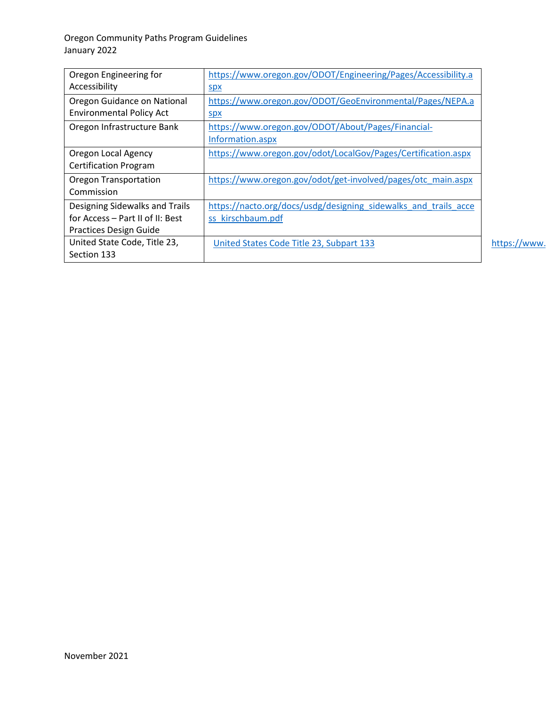<span id="page-15-0"></span>

| Oregon Engineering for           | https://www.oregon.gov/ODOT/Engineering/Pages/Accessibility.a   |              |
|----------------------------------|-----------------------------------------------------------------|--------------|
| Accessibility                    | <u>spx</u>                                                      |              |
| Oregon Guidance on National      | https://www.oregon.gov/ODOT/GeoEnvironmental/Pages/NEPA.a       |              |
| <b>Environmental Policy Act</b>  | <b>Spx</b>                                                      |              |
| Oregon Infrastructure Bank       | https://www.oregon.gov/ODOT/About/Pages/Financial-              |              |
|                                  | Information.aspx                                                |              |
| Oregon Local Agency              | https://www.oregon.gov/odot/LocalGov/Pages/Certification.aspx   |              |
| <b>Certification Program</b>     |                                                                 |              |
| <b>Oregon Transportation</b>     | https://www.oregon.gov/odot/get-involved/pages/otc_main.aspx    |              |
| Commission                       |                                                                 |              |
| Designing Sidewalks and Trails   | https://nacto.org/docs/usdg/designing sidewalks and trails acce |              |
| for Access - Part II of II: Best | ss kirschbaum.pdf                                               |              |
| <b>Practices Design Guide</b>    |                                                                 |              |
| United State Code, Title 23,     | United States Code Title 23, Subpart 133                        | https://www. |
| Section 133                      |                                                                 |              |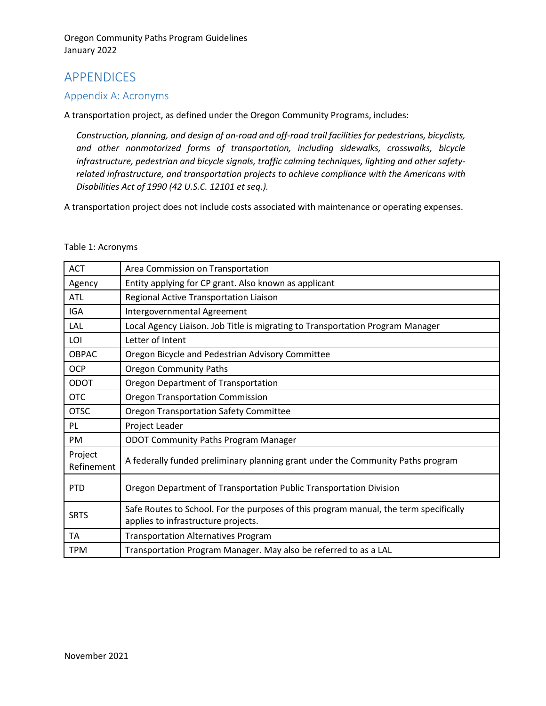## APPENDICES

## <span id="page-16-0"></span>Appendix A: Acronyms

A transportation project, as defined under the Oregon Community Programs, includes:

*Construction, planning, and design of on-road and off-road trail facilities for pedestrians, bicyclists, and other nonmotorized forms of transportation, including sidewalks, crosswalks, bicycle infrastructure, pedestrian and bicycle signals, traffic calming techniques, lighting and other safetyrelated infrastructure, and transportation projects to achieve compliance with the Americans with Disabilities Act of 1990 (42 U.S.C. 12101 et seq.).*

A transportation project does not include costs associated with maintenance or operating expenses.

#### Table 1: Acronyms

| <b>ACT</b>            | Area Commission on Transportation                                                                                            |
|-----------------------|------------------------------------------------------------------------------------------------------------------------------|
| Agency                | Entity applying for CP grant. Also known as applicant                                                                        |
| ATL                   | Regional Active Transportation Liaison                                                                                       |
| <b>IGA</b>            | Intergovernmental Agreement                                                                                                  |
| LAL                   | Local Agency Liaison. Job Title is migrating to Transportation Program Manager                                               |
| LOI                   | Letter of Intent                                                                                                             |
| <b>OBPAC</b>          | Oregon Bicycle and Pedestrian Advisory Committee                                                                             |
| <b>OCP</b>            | <b>Oregon Community Paths</b>                                                                                                |
| <b>ODOT</b>           | Oregon Department of Transportation                                                                                          |
| <b>OTC</b>            | <b>Oregon Transportation Commission</b>                                                                                      |
| <b>OTSC</b>           | <b>Oregon Transportation Safety Committee</b>                                                                                |
| PL                    | Project Leader                                                                                                               |
| <b>PM</b>             | <b>ODOT Community Paths Program Manager</b>                                                                                  |
| Project<br>Refinement | A federally funded preliminary planning grant under the Community Paths program                                              |
| <b>PTD</b>            | Oregon Department of Transportation Public Transportation Division                                                           |
| <b>SRTS</b>           | Safe Routes to School. For the purposes of this program manual, the term specifically<br>applies to infrastructure projects. |
| TA                    | <b>Transportation Alternatives Program</b>                                                                                   |
| <b>TPM</b>            | Transportation Program Manager. May also be referred to as a LAL                                                             |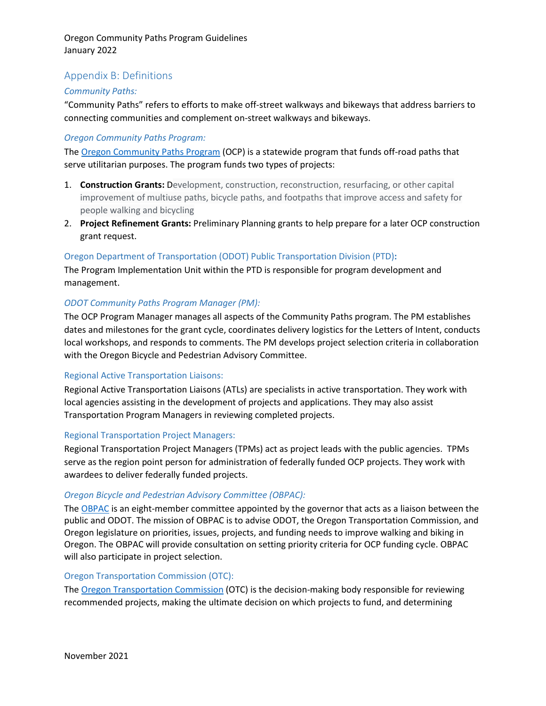## <span id="page-17-0"></span>Appendix B: Definitions

## *Community Paths:*

"Community Paths" refers to efforts to make off-street walkways and bikeways that address barriers to connecting communities and complement on-street walkways and bikeways.

## *Oregon Community Paths Program:*

The [Oregon Community Paths Program](https://www.oregon.gov/odot/Programs/Pages/OCP.aspx) (OCP) is a statewide program that funds off-road paths that serve utilitarian purposes. The program funds two types of projects:

- 1. **Construction Grants:** Development, construction, reconstruction, resurfacing, or other capital improvement of multiuse paths, bicycle paths, and footpaths that improve access and safety for people walking and bicycling
- 2. **Project Refinement Grants:** Preliminary Planning grants to help prepare for a later OCP construction grant request.

## Oregon Department of Transportation (ODOT) Public Transportation Division (PTD)**:**

The Program Implementation Unit within the PTD is responsible for program development and management.

## *ODOT Community Paths Program Manager (PM):*

The OCP Program Manager manages all aspects of the Community Paths program. The PM establishes dates and milestones for the grant cycle, coordinates delivery logistics for the Letters of Intent, conducts local workshops, and responds to comments. The PM develops project selection criteria in collaboration with the Oregon Bicycle and Pedestrian Advisory Committee.

## Regional Active Transportation Liaisons:

Regional Active Transportation Liaisons (ATLs) are specialists in active transportation. They work with local agencies assisting in the development of projects and applications. They may also assist Transportation Program Managers in reviewing completed projects.

## Regional Transportation Project Managers:

Regional Transportation Project Managers (TPMs) act as project leads with the public agencies. TPMs serve as the region point person for administration of federally funded OCP projects. They work with awardees to deliver federally funded projects.

## *Oregon Bicycle and Pedestrian Advisory Committee (OBPAC):*

The [OBPAC](https://www.oregon.gov/odot/Get-Involved/Pages/OBPAC.aspx) is an eight-member committee appointed by the governor that acts as a liaison between the public and ODOT. The mission of OBPAC is to advise ODOT, the Oregon Transportation Commission, and Oregon legislature on priorities, issues, projects, and funding needs to improve walking and biking in Oregon. The OBPAC will provide consultation on setting priority criteria for OCP funding cycle. OBPAC will also participate in project selection.

## Oregon Transportation Commission (OTC):

The [Oregon Transportation Commission](https://www.oregon.gov/odot/get-involved/pages/otc_main.aspx) (OTC) is the decision-making body responsible for reviewing recommended projects, making the ultimate decision on which projects to fund, and determining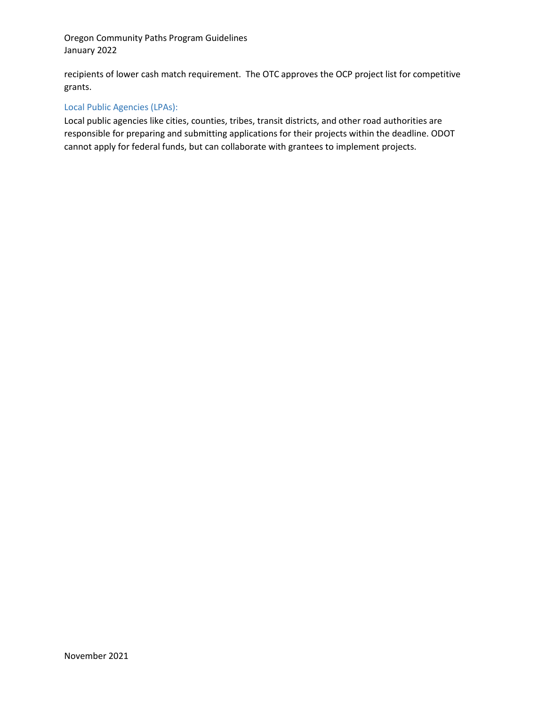recipients of lower cash match requirement. The OTC approves the OCP project list for competitive grants.

## Local Public Agencies (LPAs):

Local public agencies like cities, counties, tribes, transit districts, and other road authorities are responsible for preparing and submitting applications for their projects within the deadline. ODOT cannot apply for federal funds, but can collaborate with grantees to implement projects.